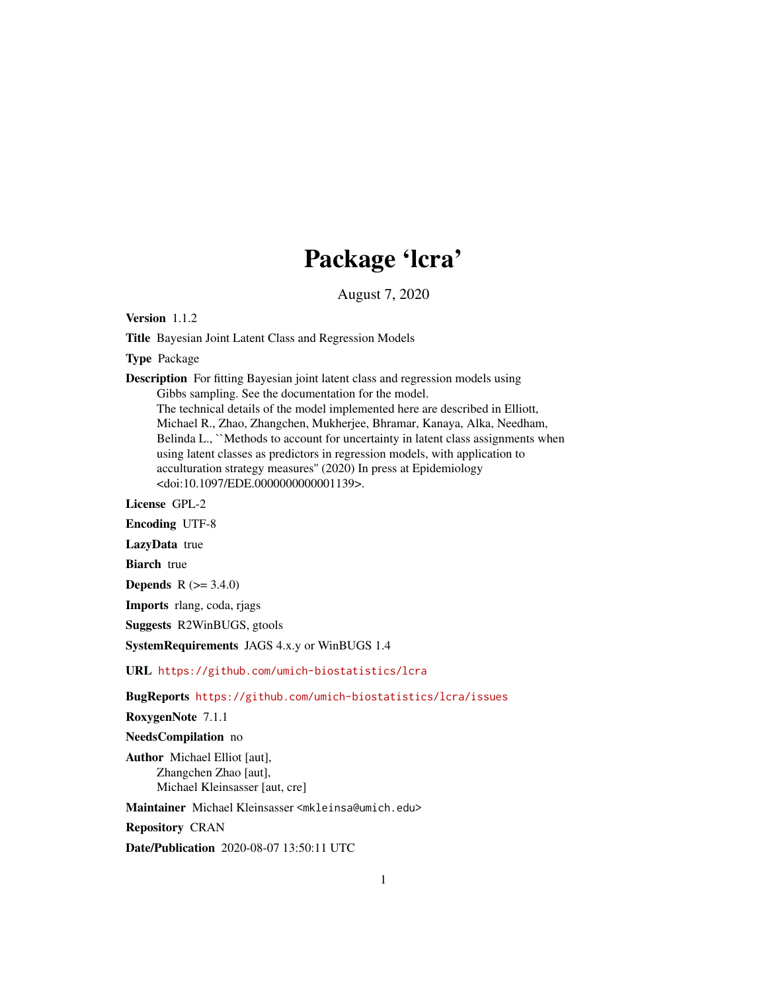## Package 'lcra'

August 7, 2020

Version 1.1.2

Title Bayesian Joint Latent Class and Regression Models

Type Package

Description For fitting Bayesian joint latent class and regression models using Gibbs sampling. See the documentation for the model. The technical details of the model implemented here are described in Elliott, Michael R., Zhao, Zhangchen, Mukherjee, Bhramar, Kanaya, Alka, Needham, Belinda L., "Methods to account for uncertainty in latent class assignments when using latent classes as predictors in regression models, with application to acculturation strategy measures'' (2020) In press at Epidemiology <doi:10.1097/EDE.0000000000001139>.

License GPL-2

Encoding UTF-8

LazyData true

**Biarch** true

**Depends** R  $(>= 3.4.0)$ 

Imports rlang, coda, rjags

Suggests R2WinBUGS, gtools

SystemRequirements JAGS 4.x.y or WinBUGS 1.4

URL <https://github.com/umich-biostatistics/lcra>

BugReports <https://github.com/umich-biostatistics/lcra/issues>

RoxygenNote 7.1.1

NeedsCompilation no

Author Michael Elliot [aut], Zhangchen Zhao [aut], Michael Kleinsasser [aut, cre]

Maintainer Michael Kleinsasser <mkleinsa@umich.edu>

Repository CRAN

Date/Publication 2020-08-07 13:50:11 UTC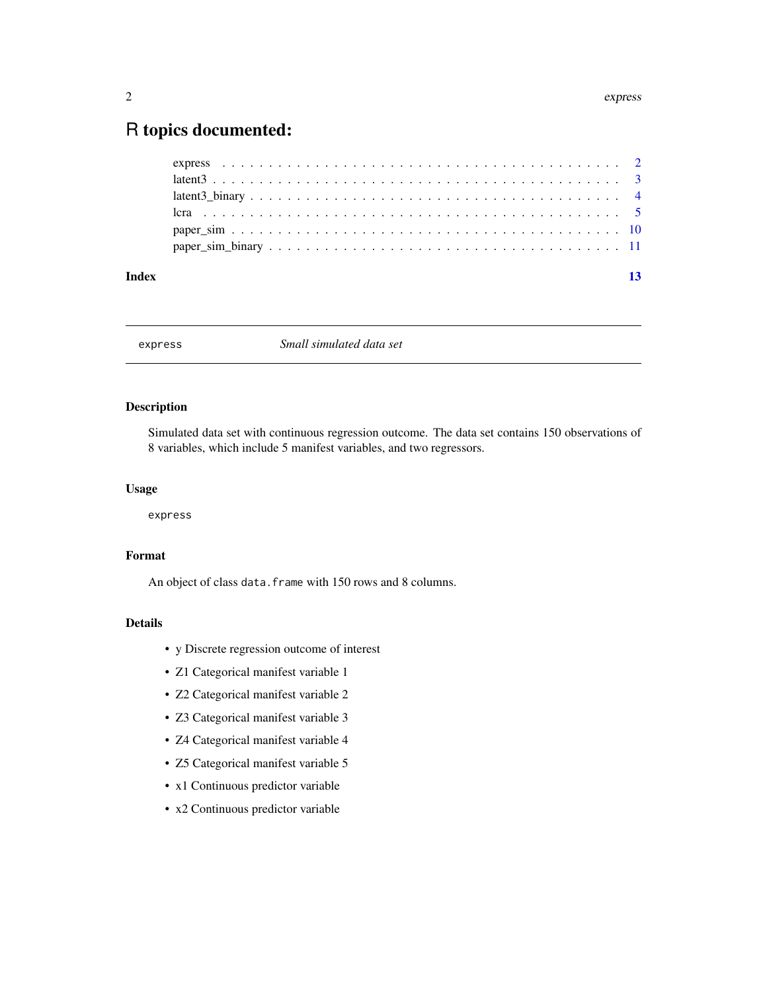### <span id="page-1-0"></span>R topics documented:

| Index | 13 |
|-------|----|
|       |    |
|       |    |
|       |    |
|       |    |
|       |    |
|       |    |

express *Small simulated data set*

### Description

Simulated data set with continuous regression outcome. The data set contains 150 observations of 8 variables, which include 5 manifest variables, and two regressors.

### Usage

express

### Format

An object of class data. frame with 150 rows and 8 columns.

- y Discrete regression outcome of interest
- Z1 Categorical manifest variable 1
- Z2 Categorical manifest variable 2
- Z3 Categorical manifest variable 3
- Z4 Categorical manifest variable 4
- Z5 Categorical manifest variable 5
- x1 Continuous predictor variable
- x2 Continuous predictor variable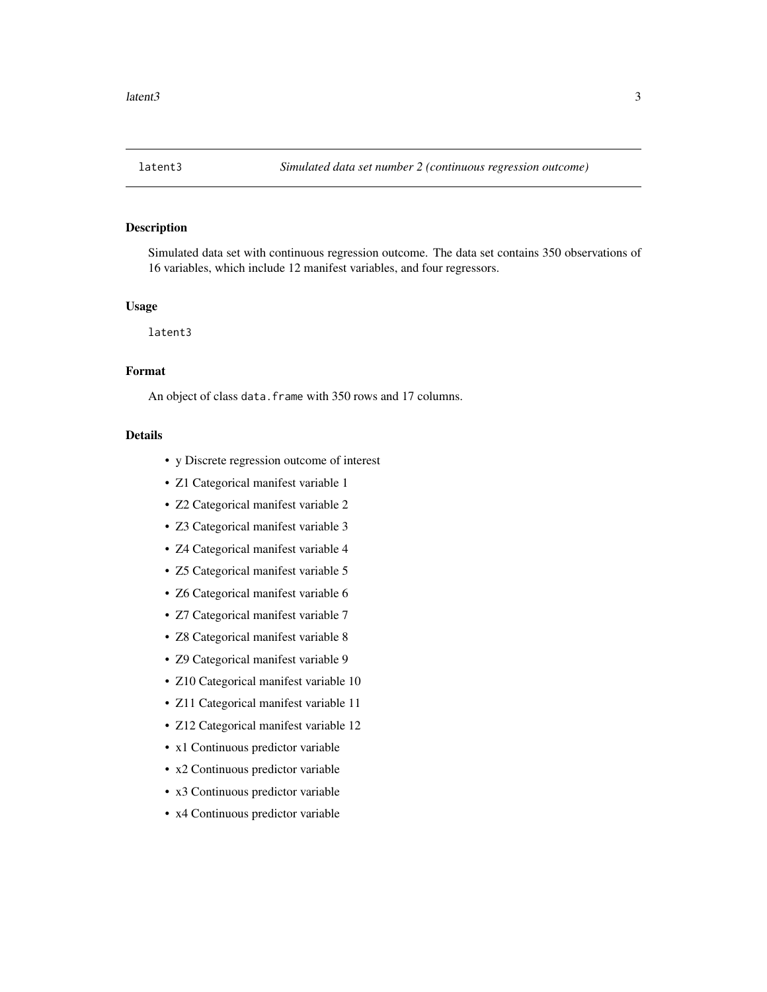<span id="page-2-0"></span>

### Description

Simulated data set with continuous regression outcome. The data set contains 350 observations of 16 variables, which include 12 manifest variables, and four regressors.

### Usage

latent3

### Format

An object of class data. frame with 350 rows and 17 columns.

- y Discrete regression outcome of interest
- Z1 Categorical manifest variable 1
- Z2 Categorical manifest variable 2
- Z3 Categorical manifest variable 3
- Z4 Categorical manifest variable 4
- Z5 Categorical manifest variable 5
- Z6 Categorical manifest variable 6
- Z7 Categorical manifest variable 7
- Z8 Categorical manifest variable 8
- Z9 Categorical manifest variable 9
- Z10 Categorical manifest variable 10
- Z11 Categorical manifest variable 11
- Z12 Categorical manifest variable 12
- x1 Continuous predictor variable
- x2 Continuous predictor variable
- x3 Continuous predictor variable
- x4 Continuous predictor variable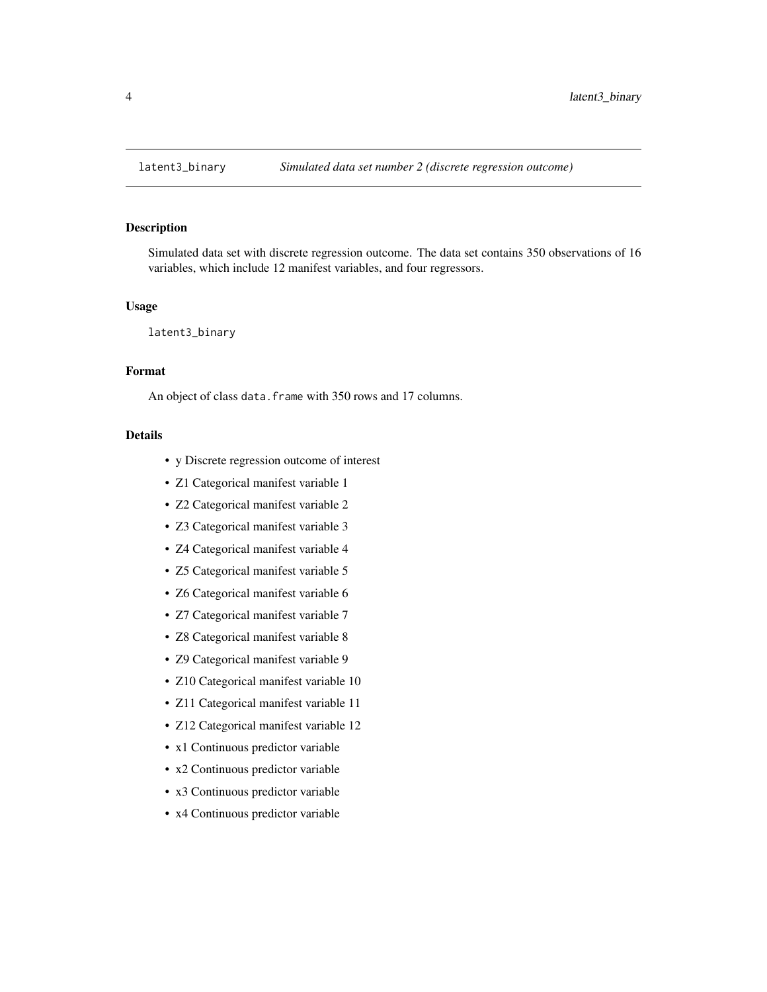### <span id="page-3-0"></span>Description

Simulated data set with discrete regression outcome. The data set contains 350 observations of 16 variables, which include 12 manifest variables, and four regressors.

### Usage

latent3\_binary

### Format

An object of class data. frame with 350 rows and 17 columns.

- y Discrete regression outcome of interest
- Z1 Categorical manifest variable 1
- Z2 Categorical manifest variable 2
- Z3 Categorical manifest variable 3
- Z4 Categorical manifest variable 4
- Z5 Categorical manifest variable 5
- Z6 Categorical manifest variable 6
- Z7 Categorical manifest variable 7
- Z8 Categorical manifest variable 8
- Z9 Categorical manifest variable 9
- Z10 Categorical manifest variable 10
- Z11 Categorical manifest variable 11
- Z12 Categorical manifest variable 12
- x1 Continuous predictor variable
- x2 Continuous predictor variable
- x3 Continuous predictor variable
- x4 Continuous predictor variable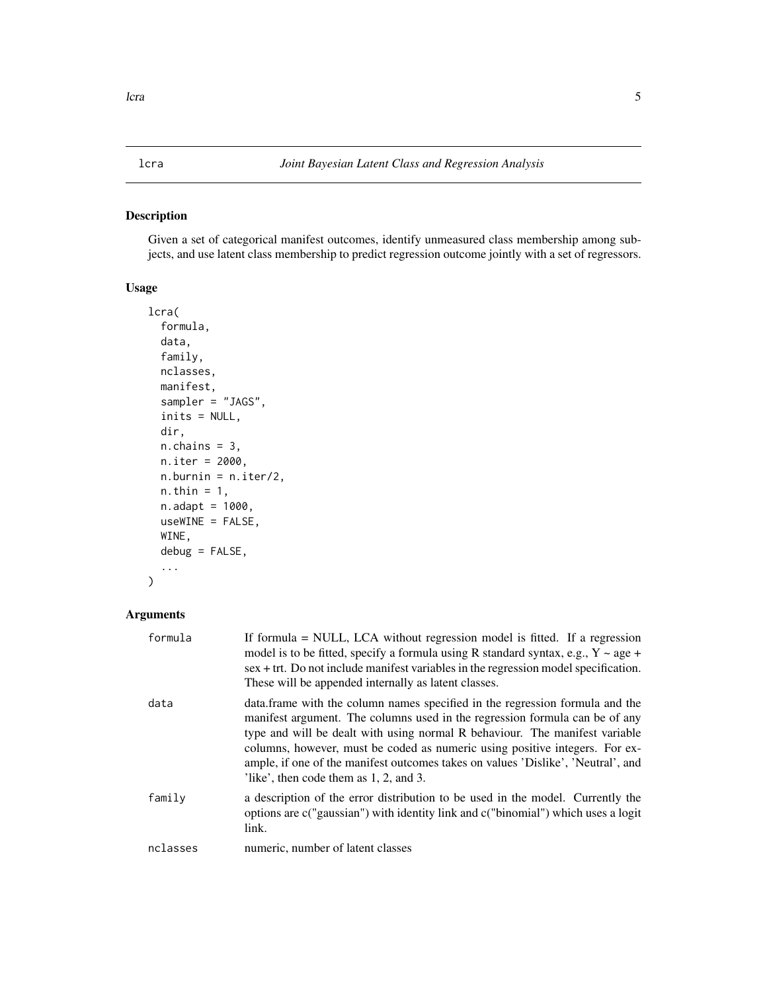### <span id="page-4-0"></span>Description

Given a set of categorical manifest outcomes, identify unmeasured class membership among subjects, and use latent class membership to predict regression outcome jointly with a set of regressors.

### Usage

```
lcra(
  formula,
  data,
  family,
 nclasses,
 manifest,
  sampler = "JAGS",
  inits = NULL,
 dir,
  n.chains = 3,
 n.iter = 2000,
  n.burnin = n.iter/2,
 n.thin = 1,
 n.adapt = 1000,
  useWINE = FALSE,
 WINE,
  debug = FALSE,
  ...
)
```
### Arguments

| data<br>data. frame with the column names specified in the regression formula and the<br>manifest argument. The columns used in the regression formula can be of any<br>type and will be dealt with using normal R behaviour. The manifest variable<br>columns, however, must be coded as numeric using positive integers. For ex-<br>ample, if one of the manifest outcomes takes on values 'Dislike', 'Neutral', and |
|------------------------------------------------------------------------------------------------------------------------------------------------------------------------------------------------------------------------------------------------------------------------------------------------------------------------------------------------------------------------------------------------------------------------|
| like', then code them as 1, 2, and 3.                                                                                                                                                                                                                                                                                                                                                                                  |
| family<br>a description of the error distribution to be used in the model. Currently the<br>options are c("gaussian") with identity link and c("binomial") which uses a logit<br>link.                                                                                                                                                                                                                                 |
| nclasses<br>numeric, number of latent classes                                                                                                                                                                                                                                                                                                                                                                          |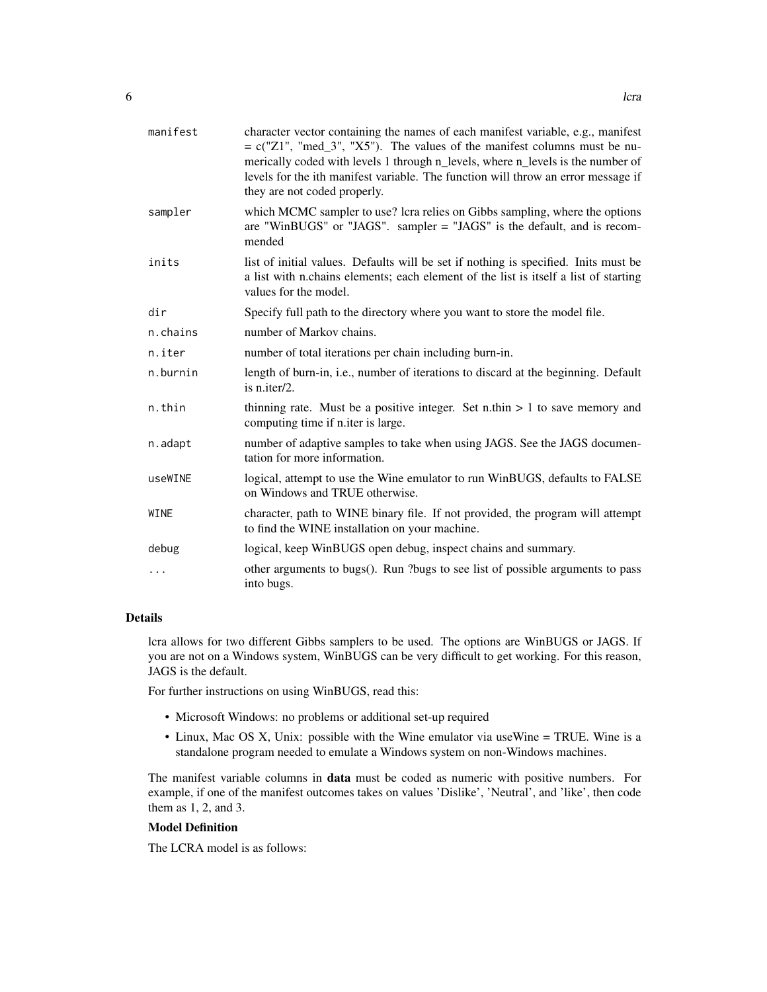| manifest | character vector containing the names of each manifest variable, e.g., manifest<br>$= c("Z1", "med_3", "X5").$ The values of the manifest columns must be nu-<br>merically coded with levels 1 through n_levels, where n_levels is the number of<br>levels for the ith manifest variable. The function will throw an error message if<br>they are not coded properly. |
|----------|-----------------------------------------------------------------------------------------------------------------------------------------------------------------------------------------------------------------------------------------------------------------------------------------------------------------------------------------------------------------------|
| sampler  | which MCMC sampler to use? lcra relies on Gibbs sampling, where the options<br>are "WinBUGS" or "JAGS". sampler $=$ "JAGS" is the default, and is recom-<br>mended                                                                                                                                                                                                    |
| inits    | list of initial values. Defaults will be set if nothing is specified. Inits must be<br>a list with n.chains elements; each element of the list is itself a list of starting<br>values for the model.                                                                                                                                                                  |
| dir      | Specify full path to the directory where you want to store the model file.                                                                                                                                                                                                                                                                                            |
| n.chains | number of Markov chains.                                                                                                                                                                                                                                                                                                                                              |
| n.iter   | number of total iterations per chain including burn-in.                                                                                                                                                                                                                                                                                                               |
| n.burnin | length of burn-in, i.e., number of iterations to discard at the beginning. Default<br>is n.iter/2.                                                                                                                                                                                                                                                                    |
| n.thin   | thinning rate. Must be a positive integer. Set n.thin $> 1$ to save memory and<br>computing time if n.iter is large.                                                                                                                                                                                                                                                  |
| n.adapt  | number of adaptive samples to take when using JAGS. See the JAGS documen-<br>tation for more information.                                                                                                                                                                                                                                                             |
| useWINE  | logical, attempt to use the Wine emulator to run WinBUGS, defaults to FALSE<br>on Windows and TRUE otherwise.                                                                                                                                                                                                                                                         |
| WINE     | character, path to WINE binary file. If not provided, the program will attempt<br>to find the WINE installation on your machine.                                                                                                                                                                                                                                      |
| debug    | logical, keep WinBUGS open debug, inspect chains and summary.                                                                                                                                                                                                                                                                                                         |
| .        | other arguments to bugs(). Run ?bugs to see list of possible arguments to pass<br>into bugs.                                                                                                                                                                                                                                                                          |

### Details

lcra allows for two different Gibbs samplers to be used. The options are WinBUGS or JAGS. If you are not on a Windows system, WinBUGS can be very difficult to get working. For this reason, JAGS is the default.

For further instructions on using WinBUGS, read this:

- Microsoft Windows: no problems or additional set-up required
- Linux, Mac OS X, Unix: possible with the Wine emulator via useWine = TRUE. Wine is a standalone program needed to emulate a Windows system on non-Windows machines.

The manifest variable columns in data must be coded as numeric with positive numbers. For example, if one of the manifest outcomes takes on values 'Dislike', 'Neutral', and 'like', then code them as 1, 2, and 3.

### Model Definition

The LCRA model is as follows: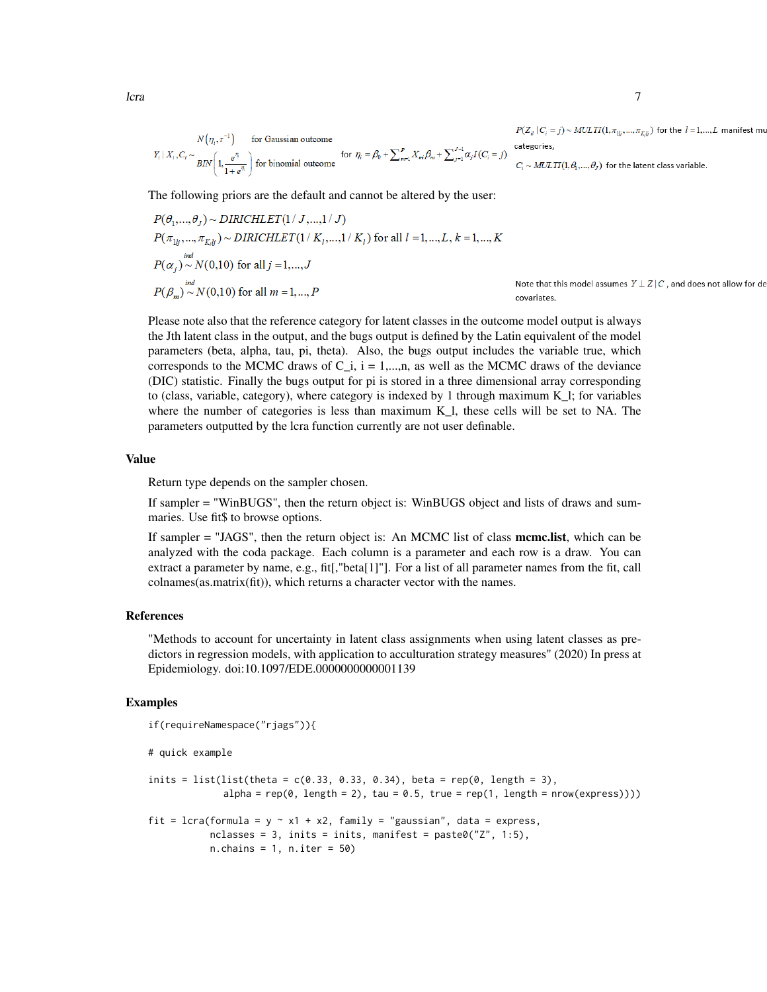$$
N(\eta_i, r^{-1})
$$
 for Gaussian outcome  
\n
$$
Y_i | X_i, C_i \sim \frac{e^{\eta}}{BIN} \left(1, \frac{e^{\eta}}{1 + e^{\eta}}\right)
$$
 for binomial outcome for  $\eta_i = \beta_0 + \sum_{m=1}^p X_m \beta_m + \sum_{j=1}^{J-1} \alpha_j I(C_i = j)$ 

 $P(Z_{il} | C_i = j) \sim MULTI(1, \pi_{1lj}, ..., \pi_{K_llj})$  for the  $l = 1, ..., L$  manifest mu gories,

 $\sim MULTI(1, \theta_1, ..., \theta_J)$  for the latent class variable.

The following priors are the default and cannot be altered by the user:

$$
P(\theta_1, ..., \theta_J) \sim \text{DIRICHLET}(1 / J, ..., 1 / J)
$$
  
\n
$$
P(\pi_{1lj}, ..., \pi_{K,lj}) \sim \text{DIRICHLET}(1 / K_1, ..., 1 / K_l)
$$
 for all  $l = 1, ..., L, k = 1, ..., K$   
\n
$$
P(\alpha_j) \sim N(0, 10)
$$
 for all  $j = 1, ..., J$   
\n
$$
P(\beta_m) \sim N(0, 10)
$$
 for all  $m = 1, ..., P$   
\nNote that this model assumes  $Y \perp Z | C$ , and does not allow for de covariates.

Please note also that the reference category for latent classes in the outcome model output is always the Jth latent class in the output, and the bugs output is defined by the Latin equivalent of the model parameters (beta, alpha, tau, pi, theta). Also, the bugs output includes the variable true, which corresponds to the MCMC draws of  $C_i$ ,  $i = 1,...,n$ , as well as the MCMC draws of the deviance (DIC) statistic. Finally the bugs output for pi is stored in a three dimensional array corresponding to (class, variable, category), where category is indexed by 1 through maximum K\_l; for variables where the number of categories is less than maximum K\_l, these cells will be set to NA. The parameters outputted by the lcra function currently are not user definable.

### Value

Return type depends on the sampler chosen.

the control of the control of the

If sampler = "WinBUGS", then the return object is: WinBUGS object and lists of draws and summaries. Use fit\$ to browse options.

If sampler = "JAGS", then the return object is: An MCMC list of class mcmc.list, which can be analyzed with the coda package. Each column is a parameter and each row is a draw. You can extract a parameter by name, e.g., fit[,"beta[1]"]. For a list of all parameter names from the fit, call colnames(as.matrix(fit)), which returns a character vector with the names.

### References

"Methods to account for uncertainty in latent class assignments when using latent classes as predictors in regression models, with application to acculturation strategy measures" (2020) In press at Epidemiology. doi:10.1097/EDE.0000000000001139

### Examples

```
if(requireNamespace("rjags")){
# quick example
inits = list(list(theta = c(0.33, 0.33, 0.34), beta = rep(0, length = 3),
             alpha = rep(0, length = 2), tau = 0.5, true = rep(1, length = nrow(express))))fit = lcra(formula = y \sim x1 + x2, family = "gaussian", data = express,
           nclasses = 3, inits = inits, manifest = past^2, 1:5),
           n.chains = 1, n.iter = 50)
```
 $l$ cra $\frac{7}{2}$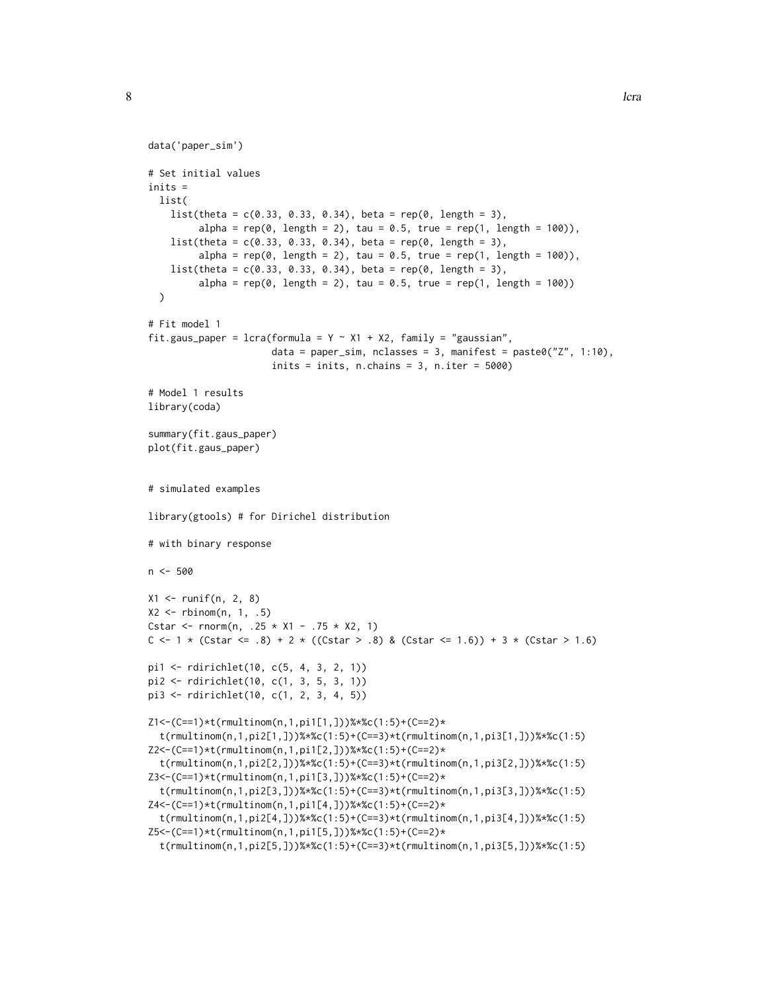```
data('paper_sim')
# Set initial values
inits =
 list(
    list(theta = c(0.33, 0.33, 0.34), beta = rep(0, length = 3),alpha = rep(\emptyset, length = 2), tau = \emptyset.5, true = rep(1, length = 100)),
    list(theta = c(0.33, 0.33, 0.34), beta = rep(0, length = 3),alpha = rep(0, length = 2), tau = 0.5, true = rep(1, length = 100)),list(theta = c(0.33, 0.33, 0.34), beta = rep(0, length = 3),alpha = rep(0, length = 2), tau = 0.5, true = rep(1, length = 100))
  )
# Fit model 1
fit.gaus_paper = lcra(formula = Y ~ x1 + X2, family = "gaussian",data = paper_sim, nclasses = 3, manifest = paste0("Z", 1:10),
                      inits = inits, n.chains = 3, n.iter = 5000)# Model 1 results
library(coda)
summary(fit.gaus_paper)
plot(fit.gaus_paper)
# simulated examples
library(gtools) # for Dirichel distribution
# with binary response
n <- 500
X1 <- runif(n, 2, 8)
X2 \leq - rbinom(n, 1, .5)
Cstar <- rnorm(n, .25 \times X1 - .75 \times X2, 1)
C <- 1 * (Cstar <= .8) + 2 * (Cstar > .8) & (Cstar <= 1.6)) + 3 * (Cstar > 1.6)
pi1 <- rdirichlet(10, c(5, 4, 3, 2, 1))
pi2 <- rdirichlet(10, c(1, 3, 5, 3, 1))
pi3 <- rdirichlet(10, c(1, 2, 3, 4, 5))
Z1<-(C==1)*t(rmultinom(n,1,pi1[1,]))%*%c(1:5)+(C==2)*
  t(rmultinom(n,1,pi2[1,]))%*%c(1:5)+(C==3)*t(rmultinom(n,1,pi3[1,]))%*%c(1:5)
Z2<-(C==1)*t(rmultinom(n,1,pi1[2,]))%*%c(1:5)+(C==2)*
  t(rmultinom(n,1,pi2[2,]))%*%c(1:5)+(C==3)*t(rmultinom(n,1,pi3[2,]))%*%c(1:5)
Z3<-(C==1)*t(rmultinom(n,1,pi1[3,]))%*%c(1:5)+(C==2)*
  t(rmultinom(n,1,pi2[3,]))%*%c(1:5)+(C==3)*t(rmultinom(n,1,pi3[3,]))%*%c(1:5)
Z4<-(C==1)*t(rmultinom(n,1,pi1[4,]))%*%c(1:5)+(C==2)*
  t(rmultinom(n,1,pi2[4,]))%*%c(1:5)+(C==3)*t(rmultinom(n,1,pi3[4,]))%*%c(1:5)
Z5<-(C==1)*t(rmultinom(n,1,pi1[5,]))%*%c(1:5)+(C==2)*
  t(rmultinom(n,1,pi2[5,]))%*%c(1:5)+(C==3)*t(rmultinom(n,1,pi3[5,]))%*%c(1:5)
```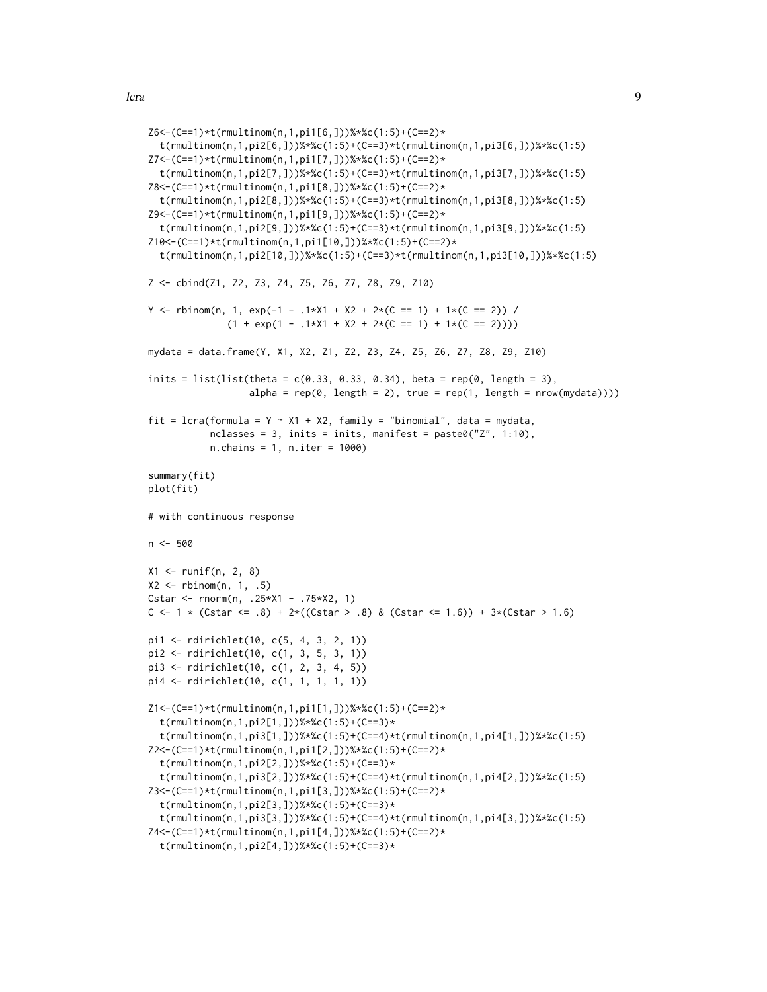```
Z6<-(C==1)*t(rmultinom(n,1,pi1[6,]))%*%c(1:5)+(C==2)*
  t(rmultinom(n,1,pi2[6,]))%*%c(1:5)+(C==3)*t(rmultinom(n,1,pi3[6,]))%*%c(1:5)
Z7<-(C==1)*t(rmultinom(n,1,pi1[7,]))%*%c(1:5)+(C==2)*
  t(rmultinom(n,1,pi2[7,]))%*%c(1:5)+(C==3)*t(rmultinom(n,1,pi3[7,]))%*%c(1:5)
Z8<-(C==1)*t(rmultinom(n,1,pi1[8,]))%*%c(1:5)+(C==2)*
  t(rmultinom(n,1,pi2[8,]))%*%c(1:5)+(C==3)*t(rmultinom(n,1,pi3[8,]))%*%c(1:5)
Z9<-(C==1)*t(rmultinom(n,1,pi1[9,]))%*%c(1:5)+(C==2)*
  t(rmultinom(n,1,pi2[9,]))%*%c(1:5)+(C==3)*t(rmultinom(n,1,pi3[9,]))%*%c(1:5)
Z10<-(C==1)*t(rmultinom(n,1,pi1[10,]))%*%c(1:5)+(C==2)*
  t(rmultinom(n,1,pi2[10,]))%*%c(1:5)+(C==3)*t(rmultinom(n,1,pi3[10,]))%*%c(1:5)
Z <- cbind(Z1, Z2, Z3, Z4, Z5, Z6, Z7, Z8, Z9, Z10)
Y <- rbinom(n, 1, exp(-1 - .1*X1 + X2 + 2*(C == 1) + 1*(C == 2)) /
              (1 + \exp(1 - .1*) + X1 + X2 + 2*(C == 1) + 1*(C == 2))))mydata = data.frame(Y, X1, X2, Z1, Z2, Z3, Z4, Z5, Z6, Z7, Z8, Z9, Z10)
inits = list(list(theta = c(0.33, 0.33, 0.34), beta = rep(0, length = 3),
                  alpha = rep(0, length = 2), true = rep(1, length = nrow(mydata))))fit = lcra(formula = Y ~ X1 + X2, family = "binomial", data = mydata,
           nclasses = 3, inits = inits, manifest = paste0("Z", 1:10),
           n.chains = 1, n.iter = 1000)
summary(fit)
plot(fit)
# with continuous response
n < -500X1 <- runif(n, 2, 8)
X2 \leq rbinom(n, 1, .5)
Cstar <- rnorm(n, .25*X1 - .75*X2, 1)
C <- 1 * (Cstar <= .8) + 2*((Cstar > .8) & (Cstar <= 1.6)) + 3*(Cstar > 1.6)
pi1 <- rdirichlet(10, c(5, 4, 3, 2, 1))
pi2 <- rdirichlet(10, c(1, 3, 5, 3, 1))
pi3 <- rdirichlet(10, c(1, 2, 3, 4, 5))
pi4 <- rdirichlet(10, c(1, 1, 1, 1, 1))
Z1<-(C==1)*t(rmultinom(n,1,pi1[1,]))%*%c(1:5)+(C==2)*
  t(rmultinom(n,1,pi2[1,]))%*%c(1:5)+(C==3)*
  t(rmultinom(n,1,pi3[1,]))%*%c(1:5)+(C==4)*t(rmultinom(n,1,pi4[1,]))%*%c(1:5)
Z2<-(C==1)*t(rmultinom(n,1,pi1[2,]))%*%c(1:5)+(C==2)*
  t(rmultinom(n,1,pi2[2,]))%*%c(1:5)+(C==3)*
  t(rmultinom(n,1,pi3[2,]))%*%c(1:5)+(C==4)*t(rmultinom(n,1,pi4[2,]))%*%c(1:5)
Z3<-(C==1)*t(rmultinom(n,1,pi1[3,]))%*%c(1:5)+(C==2)*
  t(rmultinom(n,1,pi2[3,]))%*%c(1:5)+(C==3)*
  t(rmultinom(n,1,pi3[3,]))%*%c(1:5)+(C==4)*t(rmultinom(n,1,pi4[3,]))%*%c(1:5)
Z4<-(C==1)*t(rmultinom(n,1,pi1[4,]))%*%c(1:5)+(C==2)*
  t(rmultinom(n,1,pi2[4,]))%*%c(1:5)+(C==3)*
```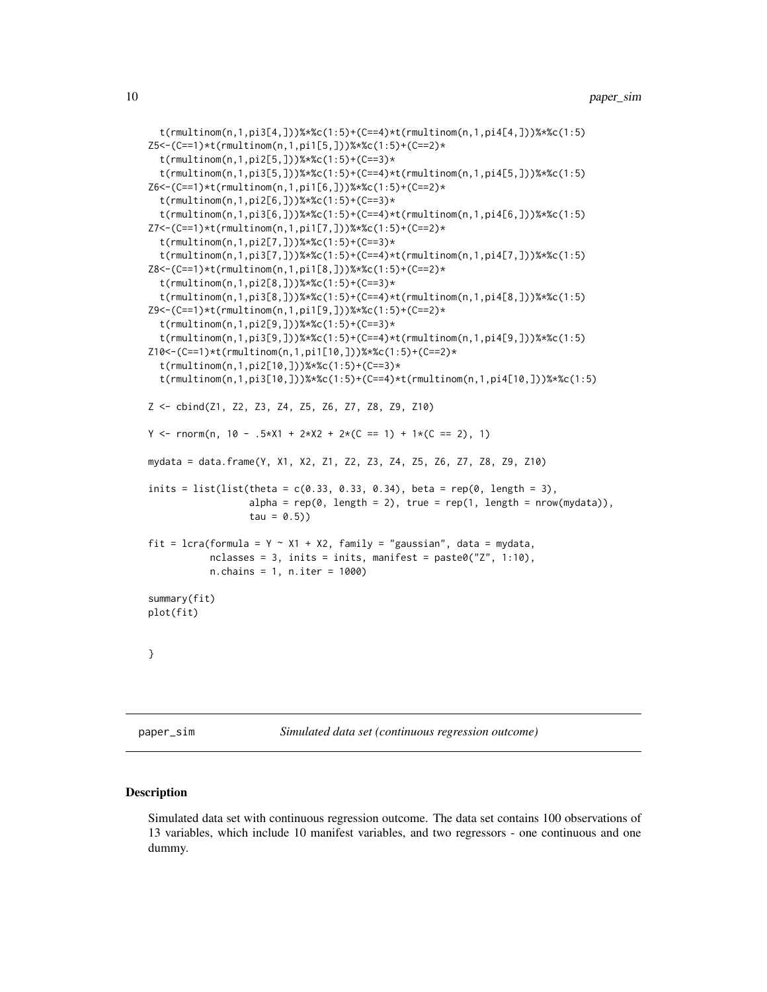```
t(rmultinom(n,1,pi3[4,]))%*%c(1:5)+(C==4)*t(rmultinom(n,1,pi4[4,]))%*%c(1:5)
Z5<-(C==1)*t(rmultinom(n,1,pi1[5,]))%*%c(1:5)+(C==2)*
 t(rmultinom(n,1,pi2[5,]))%*%c(1:5)+(C==3)*
 t(rmultinom(n,1,pi3[5,]))%*%c(1:5)+(C==4)*t(rmultinom(n,1,pi4[5,]))%*%c(1:5)
Z6<-(C==1)*t(rmultinom(n,1,pi1[6,]))%*%c(1:5)+(C==2)*
  t(rmultinom(n,1,pi2[6,]))%*%c(1:5)+(C==3)*
  t(rmultinom(n,1,pi3[6,]))%*%c(1:5)+(C==4)*t(rmultinom(n,1,pi4[6,]))%*%c(1:5)
Z7<-(C==1)*t(rmultinom(n,1,pi1[7,]))%*%c(1:5)+(C==2)*
 t(rmultinom(n,1,pi2[7,]))%*%c(1:5)+(C==3)*
  t(rmultinom(n,1,pi3[7,]))%*%c(1:5)+(C==4)*t(rmultinom(n,1,pi4[7,]))%*%c(1:5)
Z8<-(C==1)*t(rmultinom(n,1,pi1[8,]))%*%c(1:5)+(C==2)*
  t(rmultinom(n,1,pi2[8,]))%*%c(1:5)+(C==3)*
  t(rmultinom(n,1,pi3[8,]))%*%c(1:5)+(C==4)*t(rmultinom(n,1,pi4[8,]))%*%c(1:5)
Z9<-(C==1)*t(rmultinom(n,1,pi1[9,]))%*%c(1:5)+(C==2)*
 t(rmultinom(n,1,pi2[9,]))%*%c(1:5)+(C==3)*
  t(rmultinom(n,1,pi3[9,]))%*%c(1:5)+(C==4)*t(rmultinom(n,1,pi4[9,]))%*%c(1:5)
Z10<-(C==1)*t(rmultinom(n,1,pi1[10,]))%*%c(1:5)+(C==2)*
  t(rmultinom(n,1,pi2[10,]))%*%c(1:5)+(C==3)*
  t(rmultinom(n,1,pi3[10,]))%*%c(1:5)+(C==4)*t(rmultinom(n,1,pi4[10,]))%*%c(1:5)
Z <- cbind(Z1, Z2, Z3, Z4, Z5, Z6, Z7, Z8, Z9, Z10)
Y <- rnorm(n, 10 - .5*X1 + 2*X2 + 2*(C == 1) + 1*(C == 2), 1)mydata = data.frame(Y, X1, X2, Z1, Z2, Z3, Z4, Z5, Z6, Z7, Z8, Z9, Z10)
inits = list(list(theta = c(0.33, 0.33, 0.34), beta = rep(0, length = 3),
                  alpha = rep(0, length = 2), true = rep(1, length = nrow(mydata)),tau = 0.5))
fit = lcra(formula = Y ~ X1 + X2, family = "gaussian", data = mydata,
          nclasses = 3, inits = inits, manifest = past@("Z", 1:10),
          n.chains = 1, n.iter = 1000)
summary(fit)
plot(fit)
}
```
paper\_sim *Simulated data set (continuous regression outcome)*

### Description

Simulated data set with continuous regression outcome. The data set contains 100 observations of 13 variables, which include 10 manifest variables, and two regressors - one continuous and one dummy.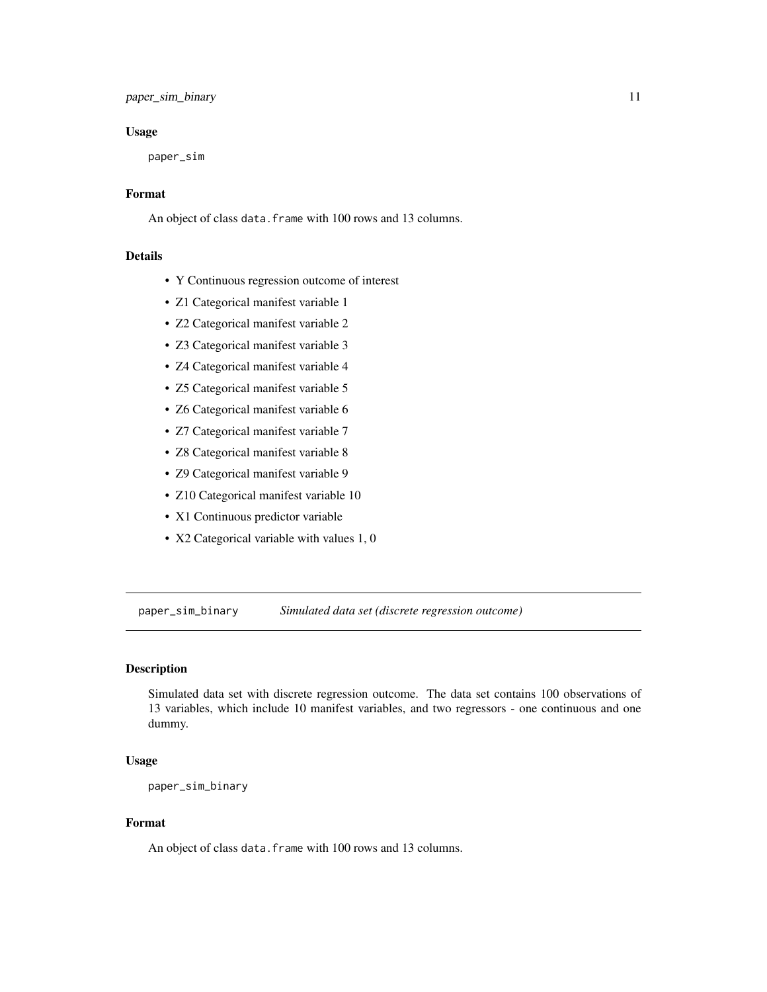### <span id="page-10-0"></span>paper\_sim\_binary 11

### Usage

paper\_sim

### Format

An object of class data.frame with 100 rows and 13 columns.

### Details

- Y Continuous regression outcome of interest
- Z1 Categorical manifest variable 1
- Z2 Categorical manifest variable 2
- Z3 Categorical manifest variable 3
- Z4 Categorical manifest variable 4
- Z5 Categorical manifest variable 5
- Z6 Categorical manifest variable 6
- Z7 Categorical manifest variable 7
- Z8 Categorical manifest variable 8
- Z9 Categorical manifest variable 9
- Z10 Categorical manifest variable 10
- X1 Continuous predictor variable
- X2 Categorical variable with values 1, 0

paper\_sim\_binary *Simulated data set (discrete regression outcome)*

### Description

Simulated data set with discrete regression outcome. The data set contains 100 observations of 13 variables, which include 10 manifest variables, and two regressors - one continuous and one dummy.

### Usage

paper\_sim\_binary

### Format

An object of class data. frame with 100 rows and 13 columns.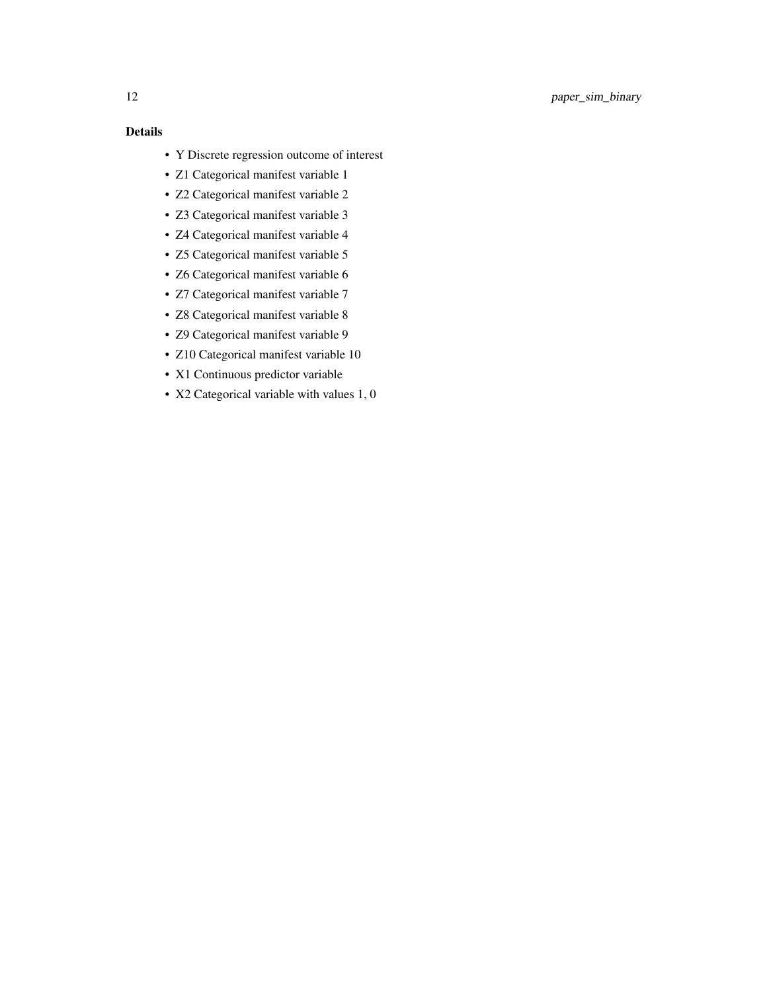- Y Discrete regression outcome of interest
- Z1 Categorical manifest variable 1
- Z2 Categorical manifest variable 2
- Z3 Categorical manifest variable 3
- Z4 Categorical manifest variable 4
- Z5 Categorical manifest variable 5
- Z6 Categorical manifest variable 6
- Z7 Categorical manifest variable 7
- Z8 Categorical manifest variable 8
- Z9 Categorical manifest variable 9
- Z10 Categorical manifest variable 10
- X1 Continuous predictor variable
- X2 Categorical variable with values 1, 0